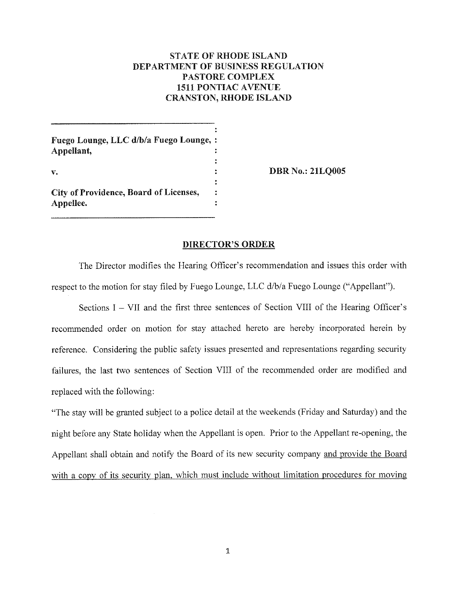# **STATE OF RHODE ISLAND DEPARTMENT OF BUSINESS REGULATION PASTORE COMPLEX 1511 PONTIAC AVENUE CRANSTON, RHODE ISLAND**

Fuego Lounge, LLC d/b/a Fuego Lounge, : Appellant.  $\overline{\mathbf{r}}$  $\mathbf{r}$  $\mathbf{v}$ . City of Providence, Board of Licenses,  $\ddot{\bullet}$ 

Appellee.

**DBR No.: 21LQ005** 

## **DIRECTOR'S ORDER**

 $\ddot{\cdot}$ 

The Director modifies the Hearing Officer's recommendation and issues this order with respect to the motion for stay filed by Fuego Lounge, LLC d/b/a Fuego Lounge ("Appellant").

Sections  $I - VII$  and the first three sentences of Section VIII of the Hearing Officer's recommended order on motion for stay attached hereto are hereby incorporated herein by reference. Considering the public safety issues presented and representations regarding security failures, the last two sentences of Section VIII of the recommended order are modified and replaced with the following:

"The stay will be granted subject to a police detail at the weekends (Friday and Saturday) and the night before any State holiday when the Appellant is open. Prior to the Appellant re-opening, the Appellant shall obtain and notify the Board of its new security company and provide the Board with a copy of its security plan, which must include without limitation procedures for moving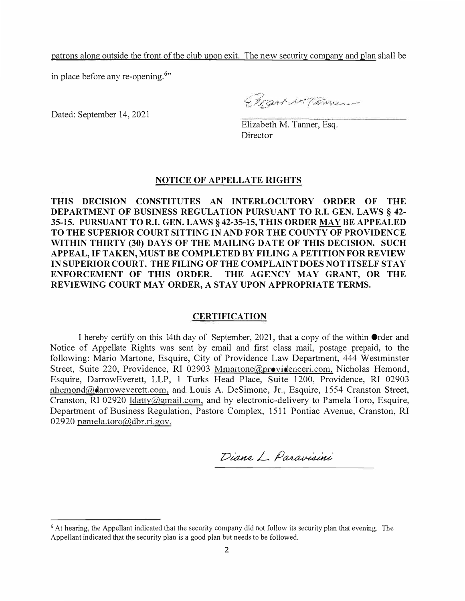patrons along outside the front of the club upon exit. The new security company and plan shall be

in place before any re-opening.**<sup>6</sup> "**

Dated: September 14, 2021

Elizart M. Tammer

Elizabeth M. Tanner, Esq. Director

## **NOTICE OF APPELLATE RIGHTS**

**THIS DECISION CONSTITUTES AN INTERLOCUTORY ORDER OF THE DEPARTMENT OF BUSINESS REGULATION PURSUANT TO R.I. GEN. LAWS§ 42- 35-15. PURSUANT TO R.I. GEN. LAWS§ 42-35-15, THIS ORDER MAY BE APPEALED TO THE SUPERIOR COURTSITTING IN AND FOR THE COUNTY OF PROVIDENCE WITHIN THIRTY (30) DAYS OF THE MAILING DATE OF THIS DECISION. SUCH APPEAL, IF TAKEN, MUST BE COMPLETED BY FILING A PETITIONFOR REVIEW INSUPERIORCOURT. THE FILING OF THE COMPLAINTDOES NOTITSELF STAY ENFORCEMENT OF THIS ORDER. THE AGENCY MAY GRANT, OR THE REVIEWING COURT MAY ORDER, A STAY UPON APPROPRIATE TERMS.**

## **CERTIFICATION**

I hereby certify on this 14th day of September, 2021, that a copy of the within Order and Notice of Appellate Rights was sent by email and first class mail, postage prepaid, to the following: Mario Martone, Esquire, City of Providence Law Department, 444 Westminster Street, Suite 220, Providence, RI 02903 Mmartone@providenceri.com, Nicholas Hemond, Esquire, DarrowEverett, LLP, I Turks Head Place, Suite 1200, Providence, RI 02903 nhemond@darroweverett.com, and Louis A. DeSimone, Jr., Esquire, 1554 Cranston Street, Cranston, RI 02920 ldatty@gmail.com, and by electronic-delivery to Pamela Toro, Esquire, Department of Business Regulation, Pastore Complex, 1511 Pontiac Avenue, Cranston, RI 02920 pamela.toro@dbr.ri.gov.

Diane L. Paravisini

<sup>&</sup>lt;sup>6</sup> At hearing, the Appellant indicated that the security company did not follow its security plan that evening. The Appellant indicated that the security plan is a good plan but needs to be followed.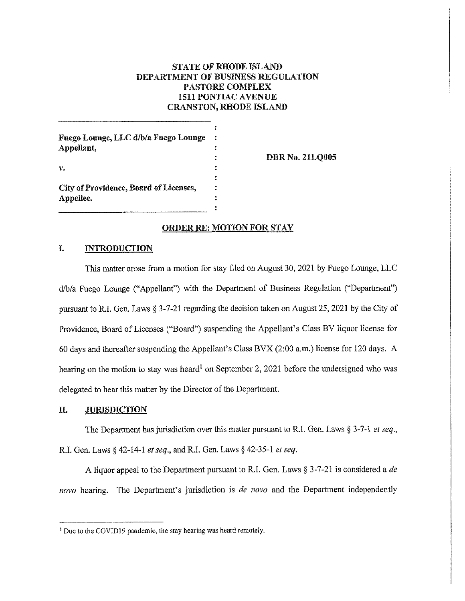# **STATE OF RHODE ISLAND** DEPARTMENT OF BUSINESS REGULATION **PASTORE COMPLEX 1511 PONTIAC AVENUE CRANSTON, RHODE ISLAND**

Fuego Lounge, LLC d/b/a Fuego Lounge Appellant, v,

City of Providence, Board of Licenses,

**DBR No. 21LQ005** 

## **ORDER RE: MOTION FOR STAY**

 $\ddot{\phantom{a}}$ 

#### I. **INTRODUCTION**

Appellee.

This matter arose from a motion for stay filed on August 30, 2021 by Fuego Lounge, LLC d/b/a Fuego Lounge ("Appellant") with the Department of Business Regulation ("Department") pursuant to R.I. Gen. Laws  $\S 3$ -7-21 regarding the decision taken on August 25, 2021 by the City of Providence, Board of Licenses ("Board") suspending the Appellant's Class BV liquor license for 60 days and thereafter suspending the Appellant's Class BVX (2:00 a.m.) license for 120 days. A hearing on the motion to stay was heard<sup>1</sup> on September 2, 2021 before the undersigned who was delegated to hear this matter by the Director of the Department.

#### II. **JURISDICTION**

The Department has jurisdiction over this matter pursuant to R.I. Gen. Laws  $\S 3-7-1$  et seq., R.I. Gen. Laws § 42-14-1 et seq., and R.I. Gen. Laws § 42-35-1 et seq.

A liquor appeal to the Department pursuant to R.I. Gen. Laws § 3-7-21 is considered a de novo hearing. The Department's jurisdiction is de novo and the Department independently

<sup>&</sup>lt;sup>1</sup> Due to the COVID19 pandemic, the stay hearing was heard remotely.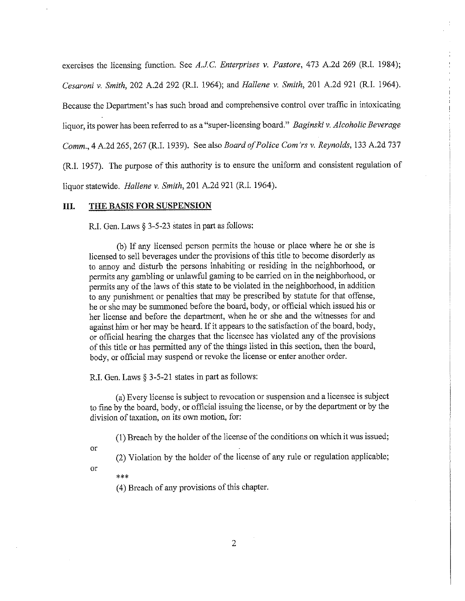exercises the licensing function. See A.J.C. Enterprises v. Pastore, 473 A.2d 269 (R.I. 1984); Cesaroni v. Smith, 202 A.2d 292 (R.I. 1964); and Hallene v. Smith, 201 A.2d 921 (R.I. 1964). Because the Department's has such broad and comprehensive control over traffic in intoxicating liquor, its power has been referred to as a "super-licensing board." Baginski v. Alcoholic Beverage Comm., 4 A.2d 265, 267 (R.I. 1939). See also Board of Police Com'rs v. Reynolds, 133 A.2d 737 (R.I. 1957). The purpose of this authority is to ensure the uniform and consistent regulation of liquor statewide. Hallene v. Smith, 201 A.2d 921 (R.I. 1964).

#### THE BASIS FOR SUSPENSION III.

R.I. Gen. Laws § 3-5-23 states in part as follows:

(b) If any licensed person permits the house or place where he or she is licensed to sell beverages under the provisions of this title to become disorderly as to annoy and disturb the persons inhabiting or residing in the neighborhood, or permits any gambling or unlawful gaming to be carried on in the neighborhood, or permits any of the laws of this state to be violated in the neighborhood, in addition to any punishment or penalties that may be prescribed by statute for that offense, he or she may be summoned before the board, body, or official which issued his or her license and before the department, when he or she and the witnesses for and against him or her may be heard. If it appears to the satisfaction of the board, body, or official hearing the charges that the licensee has violated any of the provisions of this title or has permitted any of the things listed in this section, then the board, body, or official may suspend or revoke the license or enter another order.

R.I. Gen. Laws § 3-5-21 states in part as follows:

(a) Every license is subject to revocation or suspension and a licensee is subject to fine by the board, body, or official issuing the license, or by the department or by the division of taxation, on its own motion, for:

(1) Breach by the holder of the license of the conditions on which it was issued;

or

(2) Violation by the holder of the license of any rule or regulation applicable;

or

 $* * *$ 

(4) Breach of any provisions of this chapter.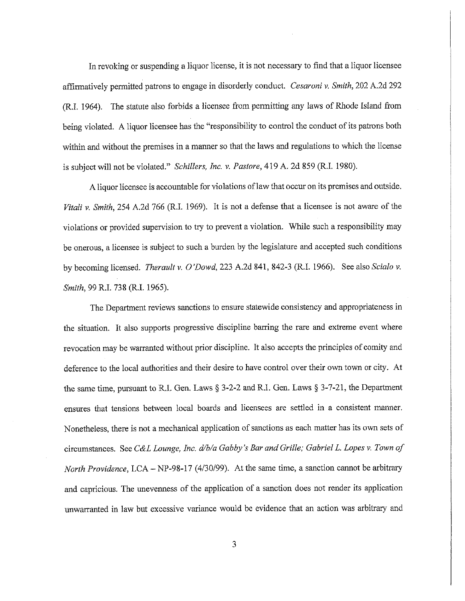In revoking or suspending a liquor license, it is not necessary to find that a liquor licensee affirmatively permitted patrons to engage in disorderly conduct. Cesaroni v. Smith, 202 A.2d 292 (R.I. 1964). The statute also forbids a licensee from permitting any laws of Rhode Island from being violated. A liquor licensee has the "responsibility to control the conduct of its patrons both within and without the premises in a manner so that the laws and regulations to which the license is subject will not be violated." Schillers, Inc. v. Pastore, 419 A. 2d 859 (R.I. 1980).

A liquor licensee is accountable for violations of law that occur on its premises and outside. Vitali v. Smith, 254 A.2d 766 (R.I. 1969). It is not a defense that a licensee is not aware of the violations or provided supervision to try to prevent a violation. While such a responsibility may be onerous, a licensee is subject to such a burden by the legislature and accepted such conditions by becoming licensed. Therault v. O'Dowd, 223 A.2d 841, 842-3 (R.I. 1966). See also Scialo v. Smith, 99 R.I. 738 (R.I. 1965).

The Department reviews sanctions to ensure statewide consistency and appropriateness in the situation. It also supports progressive discipline barring the rare and extreme event where revocation may be warranted without prior discipline. It also accepts the principles of comity and deference to the local authorities and their desire to have control over their own town or city. At the same time, pursuant to R.I. Gen. Laws  $\S 3-2-2$  and R.I. Gen. Laws  $\S 3-7-21$ , the Department ensures that tensions between local boards and licensees are settled in a consistent manner. Nonetheless, there is not a mechanical application of sanctions as each matter has its own sets of circumstances. See C&L Lounge, Inc. d/b/a Gabby's Bar and Grille; Gabriel L. Lopes v. Town of North Providence, LCA – NP-98-17 (4/30/99). At the same time, a sanction cannot be arbitrary and capricious. The unevenness of the application of a sanction does not render its application unwarranted in law but excessive variance would be evidence that an action was arbitrary and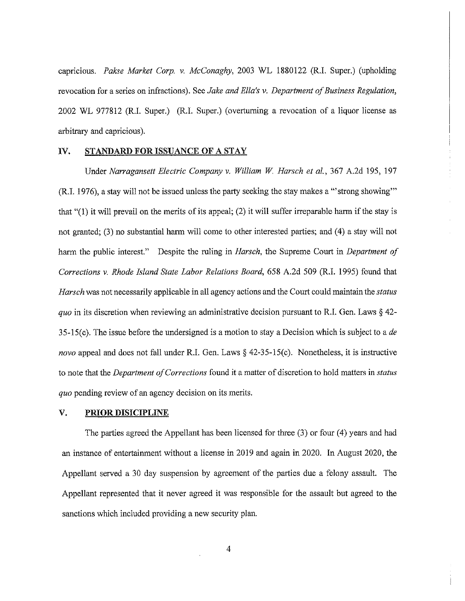capricious. Pakse Market Corp. v. McConaghy, 2003 WL 1880122 (R.I. Super.) (upholding revocation for a series on infractions). See Jake and Ella's v. Department of Business Regulation, 2002 WL 977812 (R.I. Super.) (R.I. Super.) (overturning a revocation of a liquor license as arbitrary and capricious).

#### IV. STANDARD FOR ISSUANCE OF A STAY

Under Narragansett Electric Company v. William W. Harsch et al., 367 A.2d 195, 197 (R.I. 1976), a stay will not be issued unless the party seeking the stay makes a "strong showing" that " $(1)$  it will prevail on the merits of its appeal;  $(2)$  it will suffer irreparable harm if the stay is not granted; (3) no substantial harm will come to other interested parties; and (4) a stay will not harm the public interest." Despite the ruling in Harsch, the Supreme Court in Department of Corrections v. Rhode Island State Labor Relations Board, 658 A.2d 509 (R.I. 1995) found that *Harsch* was not necessarily applicable in all agency actions and the Court could maintain the *status* quo in its discretion when reviewing an administrative decision pursuant to R.I. Gen. Laws  $\S$  42-35-15(c). The issue before the undersigned is a motion to stay a Decision which is subject to a de *novo* appeal and does not fall under R.I. Gen. Laws  $\S$  42-35-15(c). Nonetheless, it is instructive to note that the *Department of Corrections* found it a matter of discretion to hold matters in *status* quo pending review of an agency decision on its merits.

#### V. **PRIOR DISICIPLINE**

The parties agreed the Appellant has been licensed for three  $(3)$  or four  $(4)$  years and had an instance of entertainment without a license in 2019 and again in 2020. In August 2020, the Appellant served a 30 day suspension by agreement of the parties due a felony assault. The Appellant represented that it never agreed it was responsible for the assault but agreed to the sanctions which included providing a new security plan.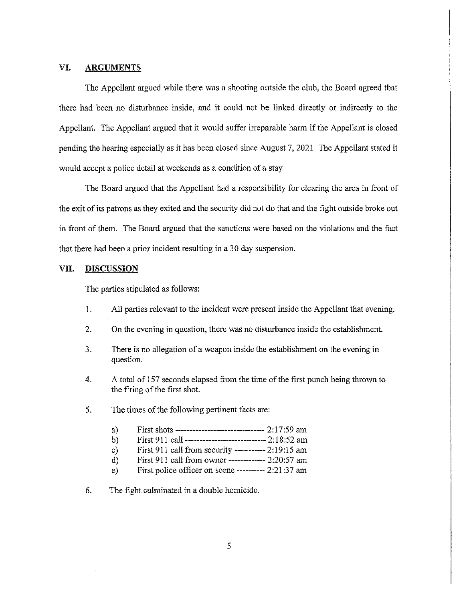#### VI. **ARGUMENTS**

The Appellant argued while there was a shooting outside the club, the Board agreed that there had been no disturbance inside, and it could not be linked directly or indirectly to the Appellant. The Appellant argued that it would suffer irreparable harm if the Appellant is closed pending the hearing especially as it has been closed since August 7, 2021. The Appellant stated it would accept a police detail at weekends as a condition of a stay

The Board argued that the Appellant had a responsibility for clearing the area in front of the exit of its patrons as they exited and the security did not do that and the fight outside broke out in front of them. The Board argued that the sanctions were based on the violations and the fact that there had been a prior incident resulting in a 30 day suspension.

#### VII. **DISCUSSION**

The parties stipulated as follows:

- $\mathbf{1}$ . All parties relevant to the incident were present inside the Appellant that evening.
- $2.$ On the evening in question, there was no disturbance inside the establishment.
- $3.$ There is no allegation of a weapon inside the establishment on the evening in question.
- 4. A total of 157 seconds elapsed from the time of the first punch being thrown to the firing of the first shot.
- 5. The times of the following pertinent facts are:
	- First shots -------------------------------- 2:17:59 am a)
	- First 911 call --------------------------- 2:18:52 am  $b)$
	- First 911 call from security ----------- 2:19:15 am  $c)$
	- First 911 call from owner ------------ 2:20:57 am  $\mathbf{d}$
	- First police officer on scene ---------- 2:21:37 am  $e)$
- 6. The fight culminated in a double homicide.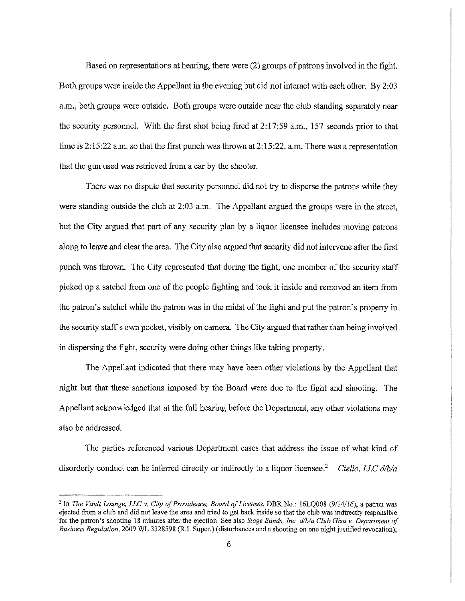Based on representations at hearing, there were (2) groups of patrons involved in the fight. Both groups were inside the Appellant in the evening but did not interact with each other. By 2:03 a.m., both groups were outside. Both groups were outside near the club standing separately near the security personnel. With the first shot being fired at  $2:17:59$  a.m., 157 seconds prior to that time is  $2:15:22$  a.m. so that the first punch was thrown at  $2:15:22$ , a.m. There was a representation that the gun used was retrieved from a car by the shooter.

There was no dispute that security personnel did not try to disperse the patrons while they were standing outside the club at 2:03 a.m. The Appellant argued the groups were in the street, but the City argued that part of any security plan by a liquor licensee includes moving patrons along to leave and clear the area. The City also argued that security did not intervene after the first punch was thrown. The City represented that during the fight, one member of the security staff picked up a satchel from one of the people fighting and took it inside and removed an item from the patron's satchel while the patron was in the midst of the fight and put the patron's property in the security staff's own pocket, visibly on camera. The City argued that rather than being involved in dispersing the fight, security were doing other things like taking property.

The Appellant indicated that there may have been other violations by the Appellant that night but that these sanctions imposed by the Board were due to the fight and shooting. The Appellant acknowledged that at the full hearing before the Department, any other violations may also be addressed.

The parties referenced various Department cases that address the issue of what kind of disorderly conduct can be inferred directly or indirectly to a liquor licensee.<sup>2</sup> Ciello, LLC  $d/b/a$ 

<sup>&</sup>lt;sup>2</sup> In The Vault Lounge, LLC v. City of Providence, Board of Licenses, DBR No.: 16LQ008 (9/14/16), a patron was ejected from a club and did not leave the area and tried to get back inside so that the club was indirectly responsible for the patron's shooting 18 minutes after the ejection. See also Stage Bands, Inc. d/b/a Club Giza v. Department of Business Regulation, 2009 WL 3328598 (R.I. Super.) (disturbances and a shooting on one night justified revocation);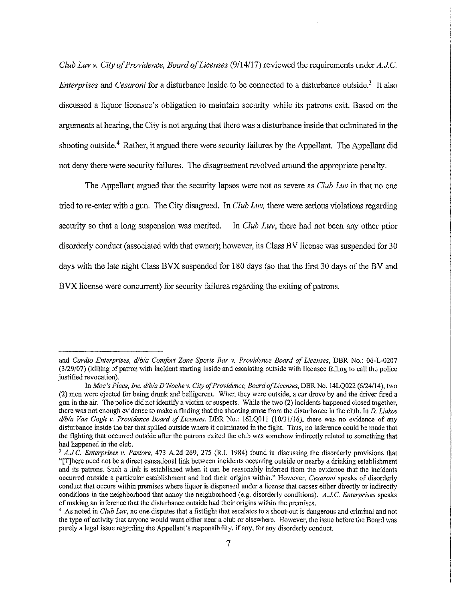Club Luv v. City of Providence, Board of Licenses (9/14/17) reviewed the requirements under  $A.J.C.$ *Enterprises* and *Cesaroni* for a disturbance inside to be connected to a disturbance outside.<sup>3</sup> It also discussed a liquor licensee's obligation to maintain security while its patrons exit. Based on the arguments at hearing, the City is not arguing that there was a disturbance inside that culminated in the shooting outside.<sup>4</sup> Rather, it argued there were security failures by the Appellant. The Appellant did not deny there were security failures. The disagreement revolved around the appropriate penalty.

The Appellant argued that the security lapses were not as severe as Club Luv in that no one tried to re-enter with a gun. The City disagreed. In Club Luv, there were serious violations regarding security so that a long suspension was merited. In Club Luv, there had not been any other prior disorderly conduct (associated with that owner); however, its Class BV license was suspended for 30 days with the late night Class BVX suspended for 180 days (so that the first 30 days of the BV and BVX license were concurrent) for security failures regarding the exiting of patrons.

and Cardio Enterprises, d/b/a Comfort Zone Sports Bar v. Providence Board of Licenses, DBR No.: 06-L-0207 (3/29/07) (killing of patron with incident starting inside and escalating outside with licensee failing to call the police justified revocation).

In Moe's Place, Inc. d/b/a D'Noche v. City of Providence, Board of Licenses, DBR No. 14LQ022 (6/24/14), two (2) men were ejected for being drunk and belligerent. When they were outside, a car drove by and the driver fired a gun in the air. The police did not identify a victim or suspects. While the two (2) incidents happened closed together, there was not enough evidence to make a finding that the shooting arose from the disturbance in the club. In D. Liakos d/b/a Van Gogh v. Providence Board of Licenses, DBR No.: 16LQ011 (10/31/16), there was no evidence of any disturbance inside the bar that spilled outside where it culminated in the fight. Thus, no inference could be made that the fighting that occurred outside after the patrons exited the club was somehow indirectly related to something that had happened in the club.

 $3$  A.J.C. Enterprises v. Pastore, 473 A.2d 269, 275 (R.I. 1984) found in discussing the disorderly provisions that "[T] here need not be a direct causational link between incidents occurring outside or nearby a drinking establishment and its patrons. Such a link is established when it can be reasonably inferred from the evidence that the incidents occurred outside a particular establishment and had their origins within." However, Cesaroni speaks of disorderly conduct that occurs within premises where liquor is dispensed under a license that causes either directly or indirectly conditions in the neighborhood that annoy the neighborhood (e.g. disorderly conditions). A.J.C. Enterprises speaks of making an inference that the disturbance outside had their origins within the premises.

<sup>&</sup>lt;sup>4</sup> As noted in *Club Luv*, no one disputes that a fistfight that escalates to a shoot-out is dangerous and criminal and not the type of activity that anyone would want either near a club or elsewhere. However, the issue before the Board was purely a legal issue regarding the Appellant's responsibility, if any, for any disorderly conduct.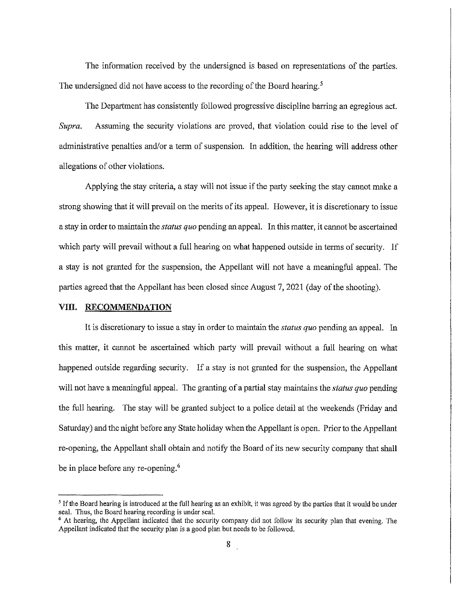The information received by the undersigned is based on representations of the parties. The undersigned did not have access to the recording of the Board hearing.<sup>5</sup>

The Department has consistently followed progressive discipline barring an egregious act. Assuming the security violations are proved, that violation could rise to the level of Supra. administrative penalties and/or a term of suspension. In addition, the hearing will address other allegations of other violations.

Applying the stay criteria, a stay will not issue if the party seeking the stay cannot make a strong showing that it will prevail on the merits of its appeal. However, it is discretionary to issue a stay in order to maintain the *status quo* pending an appeal. In this matter, it cannot be ascertained which party will prevail without a full hearing on what happened outside in terms of security. If a stay is not granted for the suspension, the Appellant will not have a meaningful appeal. The parties agreed that the Appellant has been closed since August 7, 2021 (day of the shooting).

### VIII. RECOMMENDATION

It is discretionary to issue a stay in order to maintain the *status quo* pending an appeal. In this matter, it cannot be ascertained which party will prevail without a full hearing on what happened outside regarding security. If a stay is not granted for the suspension, the Appellant will not have a meaningful appeal. The granting of a partial stay maintains the *status quo* pending the full hearing. The stay will be granted subject to a police detail at the weekends (Friday and Saturday) and the night before any State holiday when the Appellant is open. Prior to the Appellant re-opening, the Appellant shall obtain and notify the Board of its new security company that shall be in place before any re-opening.<sup>6</sup>

<sup>&</sup>lt;sup>5</sup> If the Board hearing is introduced at the full hearing as an exhibit, it was agreed by the parties that it would be under seal. Thus, the Board hearing recording is under seal.

<sup>&</sup>lt;sup>6</sup> At hearing, the Appellant indicated that the security company did not follow its security plan that evening. The Appellant indicated that the security plan is a good plan but needs to be followed.